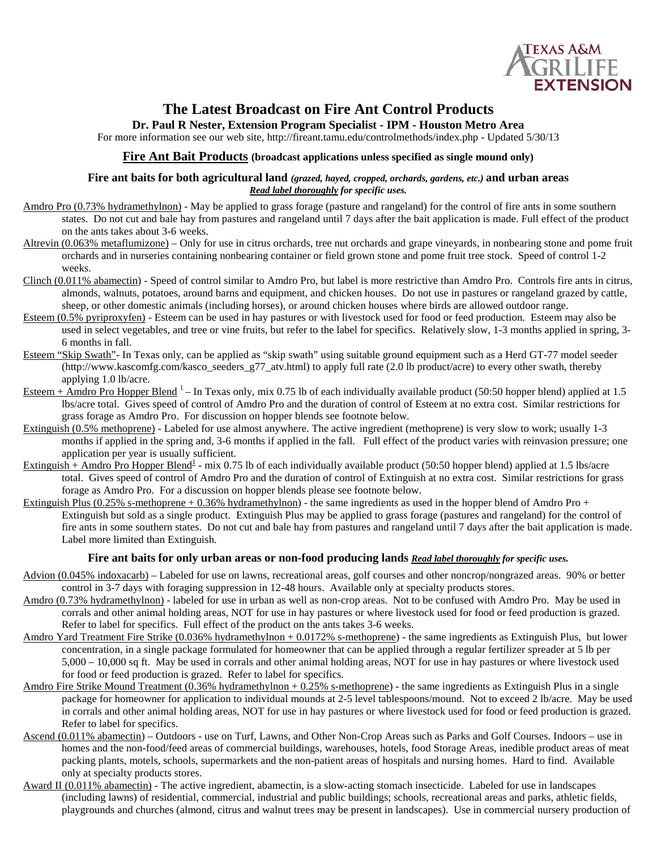

# **The Latest Broadcast on Fire Ant Control Products**

**Dr. Paul R Nester, Extension Program Specialist - IPM - Houston Metro Area**

For more information see our web site, http://fireant.tamu.edu/controlmethods/index.php - Updated 5/30/13

### **Fire Ant Bait Products (broadcast applications unless specified as single mound only)**

#### **Fire ant baits for both agricultural land** *(grazed, hayed, cropped, orchards, gardens, etc.)* **and urban areas** *Read label thoroughly for specific uses.*

- Amdro Pro (0.73% hydramethylnon) May be applied to grass forage (pasture and rangeland) for the control of fire ants in some southern states. Do not cut and bale hay from pastures and rangeland until 7 days after the bait application is made. Full effect of the product on the ants takes about 3-6 weeks.
- Altrevin (0.063% metaflumizone) Only for use in citrus orchards, tree nut orchards and grape vineyards, in nonbearing stone and pome fruit orchards and in nurseries containing nonbearing container or field grown stone and pome fruit tree stock. Speed of control 1-2 weeks.
- Clinch (0.011% abamectin) Speed of control similar to Amdro Pro, but label is more restrictive than Amdro Pro. Controls fire ants in citrus, almonds, walnuts, potatoes, around barns and equipment, and chicken houses. Do not use in pastures or rangeland grazed by cattle, sheep, or other domestic animals (including horses), or around chicken houses where birds are allowed outdoor range.
- Esteem (0.5% pyriproxyfen) Esteem can be used in hay pastures or with livestock used for food or feed production. Esteem may also be used in select vegetables, and tree or vine fruits, but refer to the label for specifics. Relatively slow, 1-3 months applied in spring, 3- 6 months in fall.
- Esteem "Skip Swath"- In Texas only, can be applied as "skip swath" using suitable ground equipment such as a Herd GT-77 model seeder (http://www.kascomfg.com/kasco\_seeders\_g77\_atv.html) to apply full rate (2.0 lb product/acre) to every other swath, thereby applying 1.0 lb/acre.
- Esteem + Amdro Pro Hopper Blend  $1 -$  In Texas only, mix 0.75 lb of each individually available product (50:50 hopper blend) applied at 1.5 lbs/acre total. Gives speed of control of Amdro Pro and the duration of control of Esteem at no extra cost. Similar restrictions for grass forage as Amdro Pro. For discussion on hopper blends see footnote below.
- Extinguish (0.5% methoprene) Labeled for use almost anywhere. The active ingredient (methoprene) is very slow to work; usually 1-3 months if applied in the spring and, 3-6 months if applied in the fall. Full effect of the product varies with reinvasion pressure; one application per year is usually sufficient.
- Extinguish + Amdro Pro Hopper Blend<sup>1</sup> mix 0.75 lb of each individually available product (50:50 hopper blend) applied at 1.5 lbs/acre total. Gives speed of control of Amdro Pro and the duration of control of Extinguish at no extra cost. Similar restrictions for grass forage as Amdro Pro. For a discussion on hopper blends please see footnote below.
- Extinguish Plus (0.25% s-methoprene + 0.36% hydramethylnon) the same ingredients as used in the hopper blend of Amdro Pro + Extinguish but sold as a single product. Extinguish Plus may be applied to grass forage (pastures and rangeland) for the control of fire ants in some southern states. Do not cut and bale hay from pastures and rangeland until 7 days after the bait application is made. Label more limited than Extinguish.

#### **Fire ant baits for only urban areas or non-food producing lands** *Read label thoroughly for specific uses.*

- Advion (0.045% indoxacarb) Labeled for use on lawns, recreational areas, golf courses and other noncrop/nongrazed areas. 90% or better control in 3-7 days with foraging suppression in 12-48 hours. Available only at specialty products stores.
- Amdro (0.73% hydramethylnon) labeled for use in urban as well as non-crop areas. Not to be confused with Amdro Pro. May be used in corrals and other animal holding areas*,* NOT for use in hay pastures or where livestock used for food or feed production is grazed. Refer to label for specifics. Full effect of the product on the ants takes 3-6 weeks.
- Amdro Yard Treatment Fire Strike (0.036% hydramethylnon + 0.0172% s-methoprene) the same ingredients as Extinguish Plus, but lower concentration, in a single package formulated for homeowner that can be applied through a regular fertilizer spreader at 5 lb per 5,000 – 10,000 sq ft. May be used in corrals and other animal holding areas*,* NOT for use in hay pastures or where livestock used for food or feed production is grazed. Refer to label for specifics.
- Amdro Fire Strike Mound Treatment (0.36% hydramethylnon + 0.25% s-methoprene) the same ingredients as Extinguish Plus in a single package for homeowner for application to individual mounds at 2-5 level tablespoons/mound. Not to exceed 2 lb/acre. May be used in corrals and other animal holding areas*,* NOT for use in hay pastures or where livestock used for food or feed production is grazed. Refer to label for specifics.
- Ascend (0.011% abamectin) Outdoors use on Turf, Lawns, and Other Non-Crop Areas such as Parks and Golf Courses. Indoors use in homes and the non-food/feed areas of commercial buildings, warehouses, hotels, food Storage Areas, inedible product areas of meat packing plants, motels, schools, supermarkets and the non-patient areas of hospitals and nursing homes. Hard to find. Available only at specialty products stores.
- Award II (0.011% abamectin) The active ingredient, abamectin, is a slow-acting stomach insecticide. Labeled for use in landscapes (including lawns) of residential, commercial, industrial and public buildings; schools, recreational areas and parks, athletic fields, playgrounds and churches (almond, citrus and walnut trees may be present in landscapes). Use in commercial nursery production of